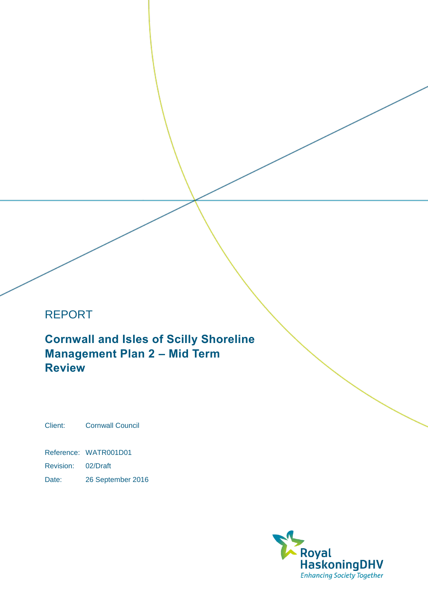# REPORT

 **Cornwall and Isles of Scilly Shoreline Management Plan 2 – Mid Term Review**

Client: Cornwall Council

Reference: WATR001D01

Revision: 02/Draft

Date: 26 September 2016

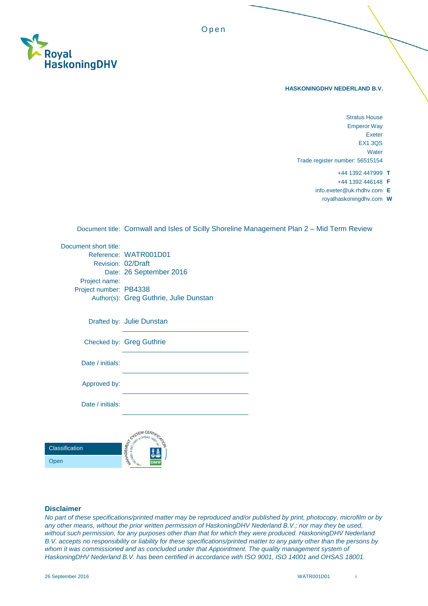

#### **HASKONINGDHV NEDERLAND B.V.**

- Trade register number: 56515154 Stratus House Emperor Way Exeter EX1 3QS **Water** 
	- +44 1392 447999 **T**
	- +44 1392 446148 **F**
	- [info.exeter@uk.rhdhv.com](mailto:info.exeter@uk.rhdhv.com) **E** 
		- [royalhaskoningdhv.com](https://royalhaskoningdhv.com) **W**

Document title: Cornwall and Isles of Scilly Shoreline Management Plan 2 – Mid Term Review

O p e n

| Document short title:  |                                        |
|------------------------|----------------------------------------|
|                        | Reference: WATR001D01                  |
| Revision: 02/Draft     |                                        |
|                        | Date: 26 September 2016                |
| Project name:          |                                        |
| Project number: PB4338 |                                        |
|                        | Author(s): Greg Guthrie, Julie Dunstan |
|                        | Drafted by: Julie Dunstan              |
|                        | Checked by: Greg Guthrie               |
| Date / initials:       |                                        |
| Approved by:           |                                        |
| Date / initials:       |                                        |
|                        |                                        |
| ssification            | EM CE<br>MANAGEMENT<br>$=$ $18$        |
| эn                     |                                        |
|                        |                                        |

#### **Disclaimer**

Cla Op

 *B.V. accepts no responsibility or liability for these specifications/printed matter to any party other than the persons by*  whom it was commissioned and as concluded under that Appointment. The quality management system of *No part of these specifications/printed matter may be reproduced and/or published by print, photocopy, microfilm or by*  any other means, without the prior written permission of HaskoningDHV Nederland B.V.; nor may they be used, *without such permission, for any purposes other than that for which they were produced. HaskoningDHV Nederland HaskoningDHV Nederland B.V. has been certified in accordance with ISO 9001, ISO 14001 and OHSAS 18001.*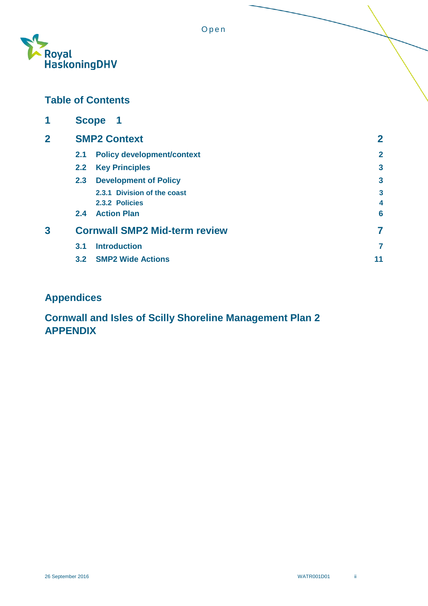

# **Table of Contents**

| 1              | <b>Scope</b><br>$\mathbf 1$ |                                      |                         |  |
|----------------|-----------------------------|--------------------------------------|-------------------------|--|
| $\overline{2}$ |                             | <b>SMP2 Context</b>                  |                         |  |
|                | 2.1                         | <b>Policy development/context</b>    | $\mathbf{2}$            |  |
|                | 2.2                         | <b>Key Principles</b>                | $\overline{\mathbf{3}}$ |  |
|                | 2.3                         | <b>Development of Policy</b>         | $\overline{3}$          |  |
|                |                             | 2.3.1 Division of the coast          | 3                       |  |
|                |                             | 2.3.2 Policies                       | 4                       |  |
|                | $2.4^{\circ}$               | <b>Action Plan</b>                   | 6                       |  |
| 3              |                             | <b>Cornwall SMP2 Mid-term review</b> |                         |  |
|                | 3.1                         | <b>Introduction</b>                  | 7                       |  |
|                |                             | 3.2 SMP2 Wide Actions                | 11                      |  |

# **Appendices**

# **Cornwall and Isles of Scilly Shoreline Management Plan 2 APPENDIX**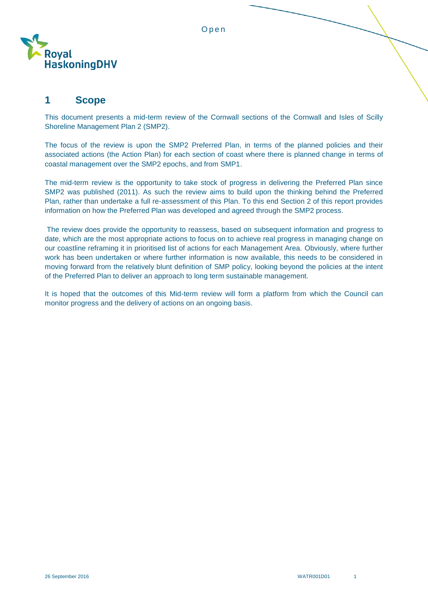



## <span id="page-3-0"></span>**1 Scope**

 This document presents a mid-term review of the Cornwall sections of the Cornwall and Isles of Scilly Shoreline Management Plan 2 (SMP2).

 The focus of the review is upon the SMP2 Preferred Plan, in terms of the planned policies and their associated actions (the Action Plan) for each section of coast where there is planned change in terms of coastal management over the SMP2 epochs, and from SMP1.

 The mid-term review is the opportunity to take stock of progress in delivering the Preferred Plan since SMP2 was published (2011). As such the review aims to build upon the thinking behind the Preferred Plan, rather than undertake a full re-assessment of this Plan. To this end Section 2 of this report provides information on how the Preferred Plan was developed and agreed through the SMP2 process.

 The review does provide the opportunity to reassess, based on subsequent information and progress to date, which are the most appropriate actions to focus on to achieve real progress in managing change on our coastline reframing it in prioritised list of actions for each Management Area. Obviously, where further work has been undertaken or where further information is now available, this needs to be considered in moving forward from the relatively blunt definition of SMP policy, looking beyond the policies at the intent of the Preferred Plan to deliver an approach to long term sustainable management.

 It is hoped that the outcomes of this Mid-term review will form a platform from which the Council can monitor progress and the delivery of actions on an ongoing basis.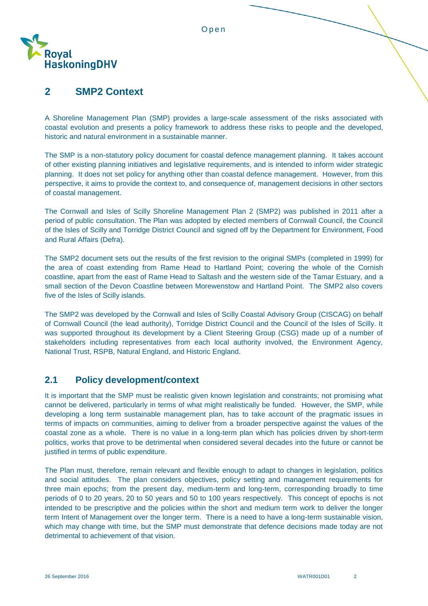

#### <span id="page-4-0"></span> **2 SMP2 Context**

 A Shoreline Management Plan (SMP) provides a large-scale assessment of the risks associated with coastal evolution and presents a policy framework to address these risks to people and the developed, historic and natural environment in a sustainable manner.

 The SMP is a non-statutory policy document for coastal defence management planning. It takes account of other existing planning initiatives and legislative requirements, and is intended to inform wider strategic planning. It does not set policy for anything other than coastal defence management. However, from this perspective, it aims to provide the context to, and consequence of, management decisions in other sectors of coastal management.

 The Cornwall and Isles of Scilly Shoreline Management Plan 2 (SMP2) was published in 2011 after a period of public consultation. The Plan was adopted by elected members of Cornwall Council, the Council of the Isles of Scilly and Torridge District Council and signed off by the Department for Environment, Food and Rural Affairs (Defra).

 The SMP2 document sets out the results of the first revision to the original SMPs (completed in 1999) for the area of coast extending from Rame Head to Hartland Point; covering the whole of the Cornish coastline, apart from the east of Rame Head to Saltash and the western side of the Tamar Estuary, and a small section of the Devon Coastline between Morewenstow and Hartland Point. The SMP2 also covers five of the Isles of Scilly islands.

 The SMP2 was developed by the Cornwall and Isles of Scilly Coastal Advisory Group (CISCAG) on behalf of Cornwall Council (the lead authority), Torridge District Council and the Council of the Isles of Scilly. It was supported throughout its development by a Client Steering Group (CSG) made up of a number of stakeholders including representatives from each local authority involved, the Environment Agency, National Trust, RSPB, Natural England, and Historic England.

## <span id="page-4-1"></span>**2.1 Policy development/context**

 It is important that the SMP must be realistic given known legislation and constraints; not promising what cannot be delivered, particularly in terms of what might realistically be funded. However, the SMP, while developing a long term sustainable management plan, has to take account of the pragmatic issues in terms of impacts on communities, aiming to deliver from a broader perspective against the values of the coastal zone as a whole. There is no value in a long-term plan which has policies driven by short-term politics, works that prove to be detrimental when considered several decades into the future or cannot be justified in terms of public expenditure.

 The Plan must, therefore, remain relevant and flexible enough to adapt to changes in legislation, politics and social attitudes. The plan considers objectives, policy setting and management requirements for three main epochs; from the present day, medium-term and long-term, corresponding broadly to time periods of 0 to 20 years, 20 to 50 years and 50 to 100 years respectively. This concept of epochs is not intended to be prescriptive and the policies within the short and medium term work to deliver the longer term Intent of Management over the longer term. There is a need to have a long-term sustainable vision, which may change with time, but the SMP must demonstrate that defence decisions made today are not detrimental to achievement of that vision.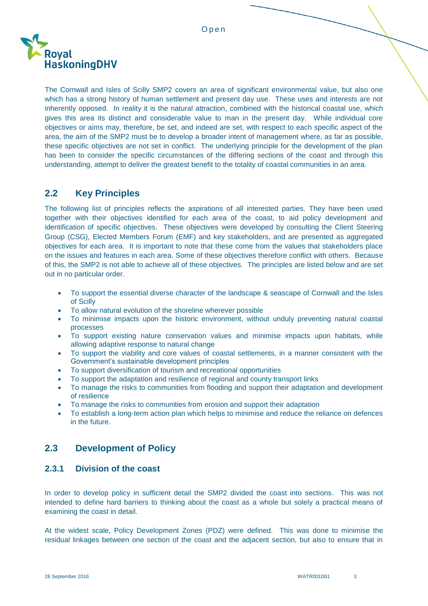

 The Cornwall and Isles of Scilly SMP2 covers an area of significant environmental value, but also one which has a strong history of human settlement and present day use. These uses and interests are not inherently opposed. In reality it is the natural attraction, combined with the historical coastal use, which gives this area its distinct and considerable value to man in the present day. While individual core objectives or aims may, therefore, be set, and indeed are set, with respect to each specific aspect of the area, the aim of the SMP2 must be to develop a broader intent of management where, as far as possible, these specific objectives are not set in conflict. The underlying principle for the development of the plan has been to consider the specific circumstances of the differing sections of the coast and through this understanding, attempt to deliver the greatest benefit to the totality of coastal communities in an area.

### <span id="page-5-0"></span>**2.2 Key Principles**

 The following list of principles reflects the aspirations of all interested parties. They have been used together with their objectives identified for each area of the coast, to aid policy development and identification of specific objectives. These objectives were developed by consulting the Client Steering Group (CSG), Elected Members Forum (EMF) and key stakeholders, and are presented as aggregated objectives for each area. It is important to note that these come from the values that stakeholders place on the issues and features in each area. Some of these objectives therefore conflict with others. Because of this, the SMP2 is not able to achieve all of these objectives. The principles are listed below and are set out in no particular order.

- To support the essential diverse character of the landscape & seascape of Cornwall and the Isles of Scilly
- To allow natural evolution of the shoreline wherever possible
- To minimise impacts upon the historic environment, without unduly preventing natural coastal processes
- To support existing nature conservation values and minimise impacts upon habitats, while allowing adaptive response to natural change
- To support the viability and core values of coastal settlements, in a manner consistent with the Government's sustainable development principles
- To support diversification of tourism and recreational opportunities
- To support the adaptation and resilience of regional and county transport links
- To manage the risks to communities from flooding and support their adaptation and development of resilience
- To manage the risks to communities from erosion and support their adaptation
- To establish a long-term action plan which helps to minimise and reduce the reliance on defences in the future.

## <span id="page-5-1"></span>**2.3 Development of Policy**

#### <span id="page-5-2"></span>**2.3.1 Division of the coast**

 In order to develop policy in sufficient detail the SMP2 divided the coast into sections. This was not intended to define hard barriers to thinking about the coast as a whole but solely a practical means of examining the coast in detail.

 At the widest scale, Policy Development Zones (PDZ) were defined. This was done to minimise the residual linkages between one section of the coast and the adjacent section, but also to ensure that in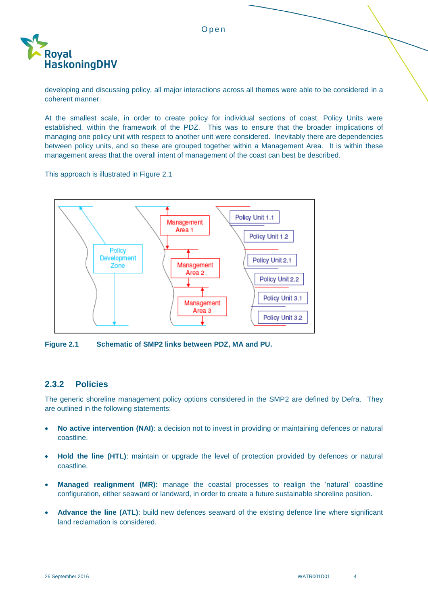

 developing and discussing policy, all major interactions across all themes were able to be considered in a coherent manner.

 At the smallest scale, in order to create policy for individual sections of coast, Policy Units were established, within the framework of the PDZ. This was to ensure that the broader implications of managing one policy unit with respect to another unit were considered. Inevitably there are dependencies between policy units, and so these are grouped together within a Management Area. It is within these management areas that the overall intent of management of the coast can best be described.

This approach is illustrated in Figure 2.1



**Figure 2.1 Schematic of SMP2 links between PDZ, MA and PU.** 

#### <span id="page-6-0"></span> **2.3.2 Policies**

 The generic shoreline management policy options considered in the SMP2 are defined by Defra. They are outlined in the following statements:

- **No active intervention (NAI)**: a decision not to invest in providing or maintaining defences or natural coastline.
- **Hold the line (HTL)**: maintain or upgrade the level of protection provided by defences or natural coastline.
- **Managed realignment (MR):** manage the coastal processes to realign the 'natural' coastline configuration, either seaward or landward, in order to create a future sustainable shoreline position.
- **Advance the line (ATL)**: build new defences seaward of the existing defence line where significant land reclamation is considered.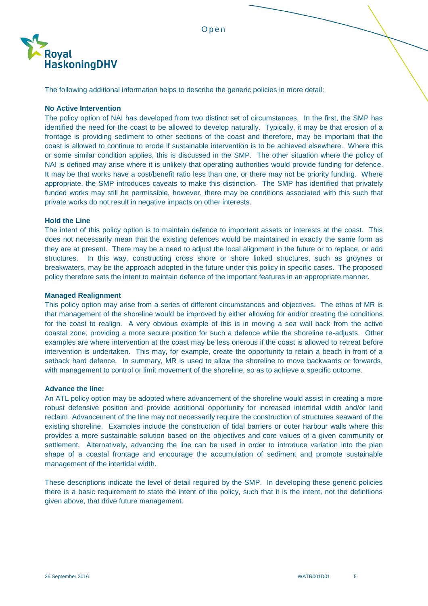

The following additional information helps to describe the generic policies in more detail:

#### **No Active Intervention**

 The policy option of NAI has developed from two distinct set of circumstances. In the first, the SMP has identified the need for the coast to be allowed to develop naturally. Typically, it may be that erosion of a frontage is providing sediment to other sections of the coast and therefore, may be important that the coast is allowed to continue to erode if sustainable intervention is to be achieved elsewhere. Where this or some similar condition applies, this is discussed in the SMP. The other situation where the policy of NAI is defined may arise where it is unlikely that operating authorities would provide funding for defence. It may be that works have a cost/benefit ratio less than one, or there may not be priority funding. Where appropriate, the SMP introduces caveats to make this distinction. The SMP has identified that privately funded works may still be permissible, however, there may be conditions associated with this such that private works do not result in negative impacts on other interests.

#### **Hold the Line**

 The intent of this policy option is to maintain defence to important assets or interests at the coast. This does not necessarily mean that the existing defences would be maintained in exactly the same form as they are at present. There may be a need to adjust the local alignment in the future or to replace, or add structures. In this way, constructing cross shore or shore linked structures, such as groynes or breakwaters, may be the approach adopted in the future under this policy in specific cases. The proposed policy therefore sets the intent to maintain defence of the important features in an appropriate manner.

#### **Managed Realignment**

 This policy option may arise from a series of different circumstances and objectives. The ethos of MR is that management of the shoreline would be improved by either allowing for and/or creating the conditions for the coast to realign. A very obvious example of this is in moving a sea wall back from the active coastal zone, providing a more secure position for such a defence while the shoreline re-adjusts. Other examples are where intervention at the coast may be less onerous if the coast is allowed to retreat before intervention is undertaken. This may, for example, create the opportunity to retain a beach in front of a setback hard defence. In summary, MR is used to allow the shoreline to move backwards or forwards, with management to control or limit movement of the shoreline, so as to achieve a specific outcome.

#### **Advance the line:**

 robust defensive position and provide additional opportunity for increased intertidal width and/or land reclaim. Advancement of the line may not necessarily require the construction of structures seaward of the existing shoreline. Examples include the construction of tidal barriers or outer harbour walls where this provides a more sustainable solution based on the objectives and core values of a given community or settlement. Alternatively, advancing the line can be used in order to introduce variation into the plan shape of a coastal frontage and encourage the accumulation of sediment and promote sustainable management of the intertidal width. An ATL policy option may be adopted where advancement of the shoreline would assist in creating a more

 These descriptions indicate the level of detail required by the SMP. In developing these generic policies there is a basic requirement to state the intent of the policy, such that it is the intent, not the definitions given above, that drive future management.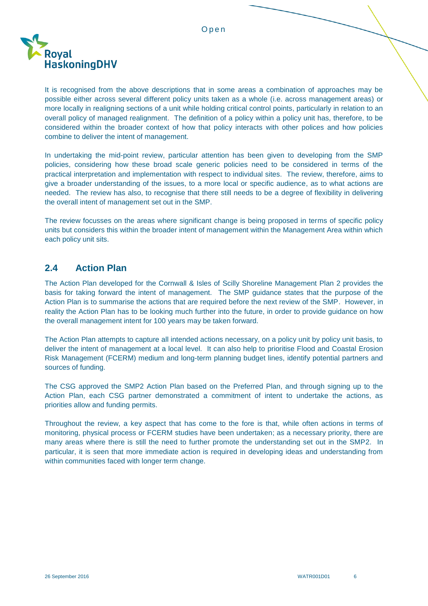

 It is recognised from the above descriptions that in some areas a combination of approaches may be possible either across several different policy units taken as a whole (i.e. across management areas) or more locally in realigning sections of a unit while holding critical control points, particularly in relation to an overall policy of managed realignment. The definition of a policy within a policy unit has, therefore, to be considered within the broader context of how that policy interacts with other polices and how policies combine to deliver the intent of management.

 In undertaking the mid-point review, particular attention has been given to developing from the SMP policies, considering how these broad scale generic policies need to be considered in terms of the practical interpretation and implementation with respect to individual sites. The review, therefore, aims to give a broader understanding of the issues, to a more local or specific audience, as to what actions are needed. The review has also, to recognise that there still needs to be a degree of flexibility in delivering the overall intent of management set out in the SMP.

 The review focusses on the areas where significant change is being proposed in terms of specific policy units but considers this within the broader intent of management within the Management Area within which each policy unit sits.

## <span id="page-8-0"></span>**2.4 Action Plan**

 The Action Plan developed for the Cornwall & Isles of Scilly Shoreline Management Plan 2 provides the basis for taking forward the intent of management. The SMP guidance states that the purpose of the Action Plan is to summarise the actions that are required before the next review of the SMP. However, in reality the Action Plan has to be looking much further into the future, in order to provide guidance on how the overall management intent for 100 years may be taken forward.

 The Action Plan attempts to capture all intended actions necessary, on a policy unit by policy unit basis, to deliver the intent of management at a local level. It can also help to prioritise Flood and Coastal Erosion Risk Management (FCERM) medium and long-term planning budget lines, identify potential partners and sources of funding.

 The CSG approved the SMP2 Action Plan based on the Preferred Plan, and through signing up to the Action Plan, each CSG partner demonstrated a commitment of intent to undertake the actions, as priorities allow and funding permits.

 Throughout the review, a key aspect that has come to the fore is that, while often actions in terms of monitoring, physical process or FCERM studies have been undertaken; as a necessary priority, there are many areas where there is still the need to further promote the understanding set out in the SMP2. In particular, it is seen that more immediate action is required in developing ideas and understanding from within communities faced with longer term change.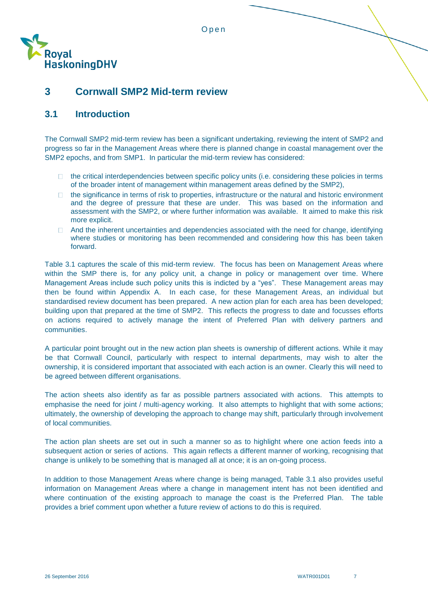

# <span id="page-9-0"></span> **3 Cornwall SMP2 Mid-term review**

### <span id="page-9-1"></span>**3.1 Introduction**

 The Cornwall SMP2 mid-term review has been a significant undertaking, reviewing the intent of SMP2 and progress so far in the Management Areas where there is planned change in coastal management over the SMP2 epochs, and from SMP1. In particular the mid-term review has considered:

- $\Box$  of the broader intent of management within management areas defined by the SMP2), the critical interdependencies between specific policy units (i.e. considering these policies in terms
- $\Box$  and the degree of pressure that these are under. This was based on the information and assessment with the SMP2, or where further information was available. It aimed to make this risk the significance in terms of risk to properties, infrastructure or the natural and historic environment more explicit.
- And the inherent uncertainties and dependencies associated with the need for change, identifying where studies or monitoring has been recommended and considering how this has been taken forward.

 Table 3.1 captures the scale of this mid-term review. The focus has been on Management Areas where within the SMP there is, for any policy unit, a change in policy or management over time. Where Management Areas include such policy units this is indicted by a "yes". These Management areas may then be found within Appendix A. In each case, for these Management Areas, an individual but standardised review document has been prepared. A new action plan for each area has been developed; building upon that prepared at the time of SMP2. This reflects the progress to date and focusses efforts on actions required to actively manage the intent of Preferred Plan with delivery partners and communities.

 A particular point brought out in the new action plan sheets is ownership of different actions. While it may be that Cornwall Council, particularly with respect to internal departments, may wish to alter the ownership, it is considered important that associated with each action is an owner. Clearly this will need to be agreed between different organisations.

 The action sheets also identify as far as possible partners associated with actions. This attempts to emphasise the need for joint / multi-agency working. It also attempts to highlight that with some actions; ultimately, the ownership of developing the approach to change may shift, particularly through involvement of local communities.

 The action plan sheets are set out in such a manner so as to highlight where one action feeds into a subsequent action or series of actions. This again reflects a different manner of working, recognising that change is unlikely to be something that is managed all at once; it is an on-going process.

 In addition to those Management Areas where change is being managed, Table 3.1 also provides useful information on Management Areas where a change in management intent has not been identified and where continuation of the existing approach to manage the coast is the Preferred Plan. The table provides a brief comment upon whether a future review of actions to do this is required.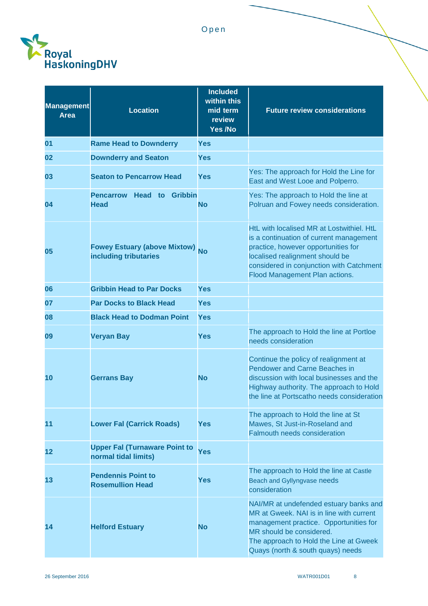

| <b>Management</b><br><b>Area</b> | <b>Location</b>                                              | <b>Included</b><br>within this<br>mid term<br>review<br>Yes /No | <b>Future review considerations</b>                                                                                                                                                                                                          |
|----------------------------------|--------------------------------------------------------------|-----------------------------------------------------------------|----------------------------------------------------------------------------------------------------------------------------------------------------------------------------------------------------------------------------------------------|
| 01                               | <b>Rame Head to Downderry</b>                                | <b>Yes</b>                                                      |                                                                                                                                                                                                                                              |
| 02                               | <b>Downderry and Seaton</b>                                  | <b>Yes</b>                                                      |                                                                                                                                                                                                                                              |
| 03                               | <b>Seaton to Pencarrow Head</b>                              | Yes                                                             | Yes: The approach for Hold the Line for<br>East and West Looe and Polperro.                                                                                                                                                                  |
| 04                               | <b>Pencarrow Head to Gribbin</b><br><b>Head</b>              | <b>No</b>                                                       | Yes: The approach to Hold the line at<br>Polruan and Fowey needs consideration.                                                                                                                                                              |
| 05                               | Fowey Estuary (above Mixtow) No<br>including tributaries     |                                                                 | HtL with localised MR at Lostwithiel. HtL<br>is a continuation of current management<br>practice, however opportunities for<br>localised realignment should be<br>considered in conjunction with Catchment<br>Flood Management Plan actions. |
| 06                               | <b>Gribbin Head to Par Docks</b>                             | <b>Yes</b>                                                      |                                                                                                                                                                                                                                              |
| 07                               | <b>Par Docks to Black Head</b>                               | <b>Yes</b>                                                      |                                                                                                                                                                                                                                              |
| 08                               | <b>Black Head to Dodman Point</b>                            | <b>Yes</b>                                                      |                                                                                                                                                                                                                                              |
| 09                               | <b>Veryan Bay</b>                                            | Yes                                                             | The approach to Hold the line at Portloe<br>needs consideration                                                                                                                                                                              |
| 10                               | <b>Gerrans Bay</b>                                           | <b>No</b>                                                       | Continue the policy of realignment at<br><b>Pendower and Carne Beaches in</b><br>discussion with local businesses and the<br>Highway authority. The approach to Hold<br>the line at Portscatho needs consideration                           |
| 11                               | <b>Lower Fal (Carrick Roads)</b>                             | <b>Yes</b>                                                      | The approach to Hold the line at St<br>Mawes, St Just-in-Roseland and<br><b>Falmouth needs consideration</b>                                                                                                                                 |
| 12                               | <b>Upper Fal (Turnaware Point to</b><br>normal tidal limits) | <b>Yes</b>                                                      |                                                                                                                                                                                                                                              |
| 13                               | <b>Pendennis Point to</b><br><b>Rosemullion Head</b>         | Yes                                                             | The approach to Hold the line at Castle<br>Beach and Gyllyngvase needs<br>consideration                                                                                                                                                      |
| 14                               | <b>Helford Estuary</b>                                       | <b>No</b>                                                       | NAI/MR at undefended estuary banks and<br>MR at Gweek. NAI is in line with current<br>management practice. Opportunities for<br>MR should be considered.<br>The approach to Hold the Line at Gweek<br>Quays (north & south quays) needs      |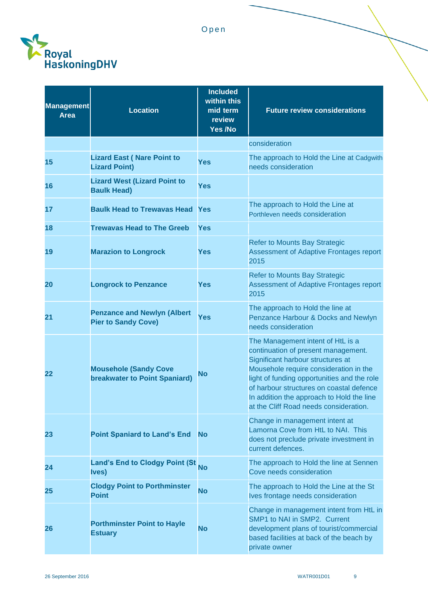

| Management<br><b>Location</b>                                    | <b>Included</b><br>within this<br>mid term<br>review<br>Yes /No | <b>Future review considerations</b>                                                                                                                                                                                                                                                                                                       |
|------------------------------------------------------------------|-----------------------------------------------------------------|-------------------------------------------------------------------------------------------------------------------------------------------------------------------------------------------------------------------------------------------------------------------------------------------------------------------------------------------|
|                                                                  |                                                                 | consideration                                                                                                                                                                                                                                                                                                                             |
| <b>Lizard East (Nare Point to</b><br><b>Lizard Point)</b>        | <b>Yes</b>                                                      | The approach to Hold the Line at Cadgwith<br>needs consideration                                                                                                                                                                                                                                                                          |
| <b>Lizard West (Lizard Point to</b><br><b>Baulk Head)</b>        | <b>Yes</b>                                                      |                                                                                                                                                                                                                                                                                                                                           |
| <b>Baulk Head to Trewavas Head</b>                               |                                                                 | The approach to Hold the Line at<br>Porthleven needs consideration                                                                                                                                                                                                                                                                        |
| <b>Trewavas Head to The Greeb</b>                                |                                                                 |                                                                                                                                                                                                                                                                                                                                           |
| <b>Marazion to Longrock</b>                                      |                                                                 | <b>Refer to Mounts Bay Strategic</b><br>Assessment of Adaptive Frontages report<br>2015                                                                                                                                                                                                                                                   |
| <b>Longrock to Penzance</b>                                      | Yes                                                             | <b>Refer to Mounts Bay Strategic</b><br>Assessment of Adaptive Frontages report<br>2015                                                                                                                                                                                                                                                   |
| <b>Penzance and Newlyn (Albert</b><br><b>Pier to Sandy Cove)</b> | <b>Yes</b>                                                      | The approach to Hold the line at<br>Penzance Harbour & Docks and Newlyn<br>needs consideration                                                                                                                                                                                                                                            |
| <b>Mousehole (Sandy Cove</b><br>breakwater to Point Spaniard)    |                                                                 | The Management intent of HtL is a<br>continuation of present management.<br>Significant harbour structures at<br>Mousehole require consideration in the<br>light of funding opportunities and the role<br>of harbour structures on coastal defence<br>In addition the approach to Hold the line<br>at the Cliff Road needs consideration. |
| <b>Point Spaniard to Land's End</b>                              |                                                                 | Change in management intent at<br>Lamorna Cove from HtL to NAI. This<br>does not preclude private investment in<br>current defences.                                                                                                                                                                                                      |
| <b>Land's End to Clodgy Point (St</b><br><b>Ives</b> )           | <b>No</b>                                                       | The approach to Hold the line at Sennen<br>Cove needs consideration                                                                                                                                                                                                                                                                       |
| <b>Clodgy Point to Porthminster</b><br><b>Point</b>              |                                                                 | The approach to Hold the Line at the St<br>Ives frontage needs consideration                                                                                                                                                                                                                                                              |
| <b>Porthminster Point to Hayle</b><br><b>Estuary</b>             |                                                                 | Change in management intent from HtL in<br>SMP1 to NAI in SMP2. Current<br>development plans of tourist/commercial<br>based facilities at back of the beach by<br>private owner                                                                                                                                                           |
|                                                                  |                                                                 | <b>Yes</b><br>Yes<br><b>Yes</b><br><b>No</b><br><b>No</b><br><b>No</b><br><b>No</b>                                                                                                                                                                                                                                                       |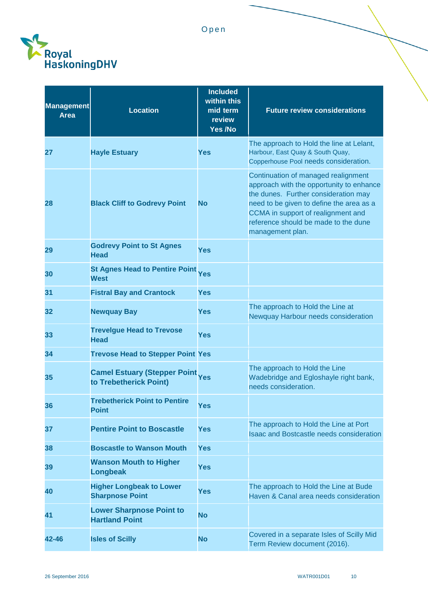

| <b>Management</b><br>Area | <b>Location</b>                                               | <b>Included</b><br>within this<br>mid term<br>review<br>Yes /No | <b>Future review considerations</b>                                                                                                                                                                                                                                   |
|---------------------------|---------------------------------------------------------------|-----------------------------------------------------------------|-----------------------------------------------------------------------------------------------------------------------------------------------------------------------------------------------------------------------------------------------------------------------|
| 27                        | <b>Hayle Estuary</b>                                          | <b>Yes</b>                                                      | The approach to Hold the line at Lelant,<br>Harbour, East Quay & South Quay,<br>Copperhouse Pool needs consideration.                                                                                                                                                 |
| 28                        | <b>Black Cliff to Godrevy Point</b>                           | <b>No</b>                                                       | Continuation of managed realignment<br>approach with the opportunity to enhance<br>the dunes. Further consideration may<br>need to be given to define the area as a<br>CCMA in support of realignment and<br>reference should be made to the dune<br>management plan. |
| 29                        | <b>Godrevy Point to St Agnes</b><br><b>Head</b>               | Yes                                                             |                                                                                                                                                                                                                                                                       |
| 30                        | <b>St Agnes Head to Pentire Point</b><br><b>West</b>          | <b>Yes</b>                                                      |                                                                                                                                                                                                                                                                       |
| 31                        | <b>Fistral Bay and Crantock</b>                               | <b>Yes</b>                                                      |                                                                                                                                                                                                                                                                       |
| 32                        | <b>Newquay Bay</b>                                            | <b>Yes</b>                                                      | The approach to Hold the Line at<br>Newquay Harbour needs consideration                                                                                                                                                                                               |
| 33                        | <b>Trevelgue Head to Trevose</b><br><b>Head</b>               | <b>Yes</b>                                                      |                                                                                                                                                                                                                                                                       |
| 34                        | <b>Trevose Head to Stepper Point Yes</b>                      |                                                                 |                                                                                                                                                                                                                                                                       |
| 35                        | <b>Camel Estuary (Stepper Point</b><br>to Trebetherick Point) | <b>Yes</b>                                                      | The approach to Hold the Line<br>Wadebridge and Egloshayle right bank,<br>needs consideration.                                                                                                                                                                        |
| 36                        | <b>Trebetherick Point to Pentire</b><br><b>Point</b>          | <b>Yes</b>                                                      |                                                                                                                                                                                                                                                                       |
| 37                        | <b>Pentire Point to Boscastle</b>                             | <b>Yes</b>                                                      | The approach to Hold the Line at Port<br><b>Isaac and Bostcastle needs consideration</b>                                                                                                                                                                              |
| 38                        | <b>Boscastle to Wanson Mouth</b>                              | <b>Yes</b>                                                      |                                                                                                                                                                                                                                                                       |
| 39                        | <b>Wanson Mouth to Higher</b><br><b>Longbeak</b>              | <b>Yes</b>                                                      |                                                                                                                                                                                                                                                                       |
| 40                        | <b>Higher Longbeak to Lower</b><br><b>Sharpnose Point</b>     | <b>Yes</b>                                                      | The approach to Hold the Line at Bude<br>Haven & Canal area needs consideration                                                                                                                                                                                       |
| 41                        | <b>Lower Sharpnose Point to</b><br><b>Hartland Point</b>      | <b>No</b>                                                       |                                                                                                                                                                                                                                                                       |
| 42-46                     | <b>Isles of Scilly</b>                                        | <b>No</b>                                                       | Covered in a separate Isles of Scilly Mid<br>Term Review document (2016).                                                                                                                                                                                             |